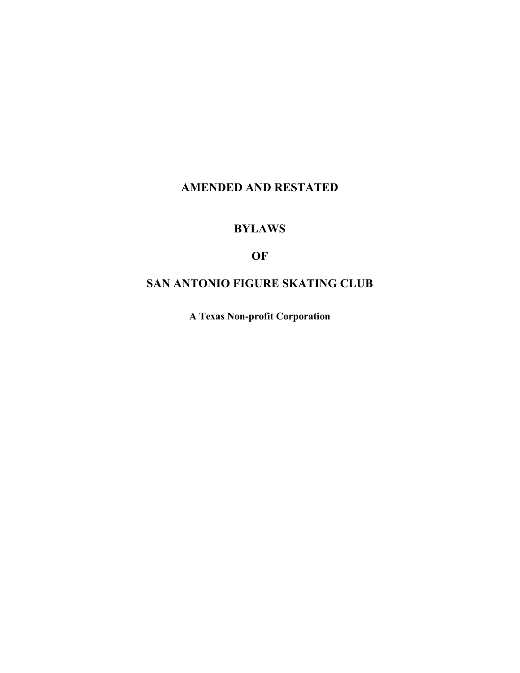# **AMENDED AND RESTATED**

# **BYLAWS**

# **OF**

# **SAN ANTONIO FIGURE SKATING CLUB**

**A Texas Non-profit Corporation**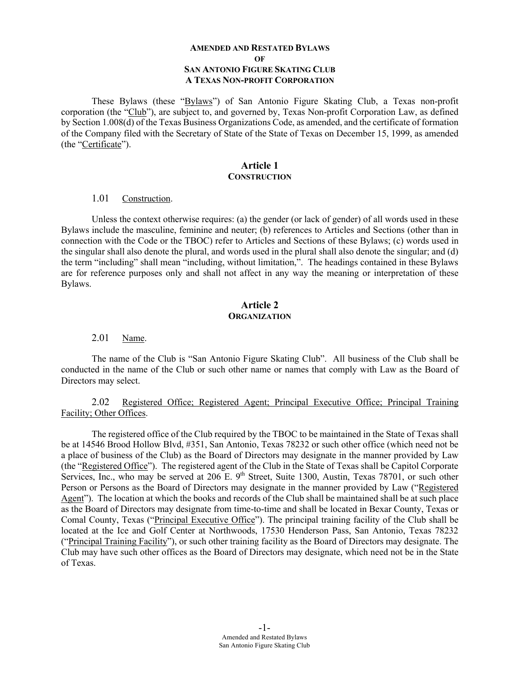#### **AMENDED AND RESTATED BYLAWS OF SAN ANTONIO FIGURE SKATING CLUB A TEXAS NON-PROFIT CORPORATION**

These Bylaws (these "Bylaws") of San Antonio Figure Skating Club, a Texas non-profit corporation (the "Club"), are subject to, and governed by, Texas Non-profit Corporation Law, as defined by Section 1.008(d) of the Texas Business Organizations Code, as amended, and the certificate of formation of the Company filed with the Secretary of State of the State of Texas on December 15, 1999, as amended (the "Certificate").

#### **Article 1 CONSTRUCTION**

#### 1.01 Construction.

Unless the context otherwise requires: (a) the gender (or lack of gender) of all words used in these Bylaws include the masculine, feminine and neuter; (b) references to Articles and Sections (other than in connection with the Code or the TBOC) refer to Articles and Sections of these Bylaws; (c) words used in the singular shall also denote the plural, and words used in the plural shall also denote the singular; and (d) the term "including" shall mean "including, without limitation,". The headings contained in these Bylaws are for reference purposes only and shall not affect in any way the meaning or interpretation of these Bylaws.

### **Article 2 ORGANIZATION**

#### 2.01 Name.

The name of the Club is "San Antonio Figure Skating Club". All business of the Club shall be conducted in the name of the Club or such other name or names that comply with Law as the Board of Directors may select.

#### 2.02 Registered Office; Registered Agent; Principal Executive Office; Principal Training Facility; Other Offices.

The registered office of the Club required by the TBOC to be maintained in the State of Texas shall be at 14546 Brood Hollow Blvd, #351, San Antonio, Texas 78232 or such other office (which need not be a place of business of the Club) as the Board of Directors may designate in the manner provided by Law (the "Registered Office"). The registered agent of the Club in the State of Texas shall be Capitol Corporate Services, Inc., who may be served at 206 E. 9<sup>th</sup> Street, Suite 1300, Austin, Texas 78701, or such other Person or Persons as the Board of Directors may designate in the manner provided by Law ("Registered Agent"). The location at which the books and records of the Club shall be maintained shall be at such place as the Board of Directors may designate from time-to-time and shall be located in Bexar County, Texas or Comal County, Texas ("Principal Executive Office"). The principal training facility of the Club shall be located at the Ice and Golf Center at Northwoods, 17530 Henderson Pass, San Antonio, Texas 78232 ("Principal Training Facility"), or such other training facility as the Board of Directors may designate. The Club may have such other offices as the Board of Directors may designate, which need not be in the State of Texas.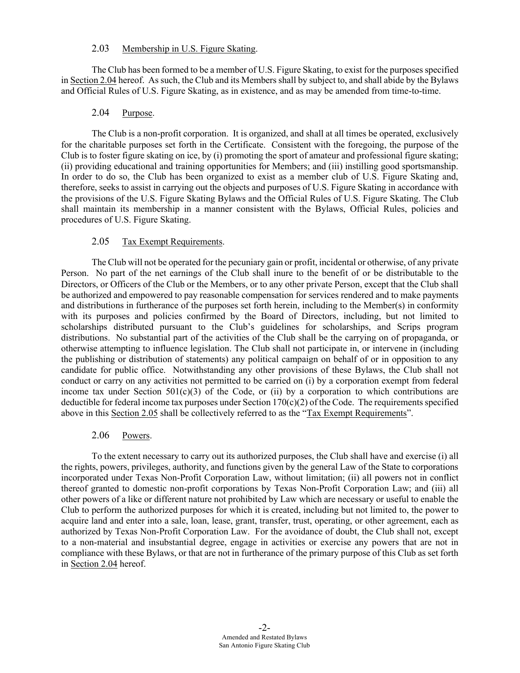#### 2.03 Membership in U.S. Figure Skating.

The Club has been formed to be a member of U.S. Figure Skating, to exist for the purposes specified in Section 2.04 hereof. As such, the Club and its Members shall by subject to, and shall abide by the Bylaws and Official Rules of U.S. Figure Skating, as in existence, and as may be amended from time-to-time.

#### 2.04 Purpose.

The Club is a non-profit corporation. It is organized, and shall at all times be operated, exclusively for the charitable purposes set forth in the Certificate. Consistent with the foregoing, the purpose of the Club is to foster figure skating on ice, by (i) promoting the sport of amateur and professional figure skating; (ii) providing educational and training opportunities for Members; and (iii) instilling good sportsmanship. In order to do so, the Club has been organized to exist as a member club of U.S. Figure Skating and, therefore, seeks to assist in carrying out the objects and purposes of U.S. Figure Skating in accordance with the provisions of the U.S. Figure Skating Bylaws and the Official Rules of U.S. Figure Skating. The Club shall maintain its membership in a manner consistent with the Bylaws, Official Rules, policies and procedures of U.S. Figure Skating.

#### 2.05 Tax Exempt Requirements.

The Club will not be operated for the pecuniary gain or profit, incidental or otherwise, of any private Person. No part of the net earnings of the Club shall inure to the benefit of or be distributable to the Directors, or Officers of the Club or the Members, or to any other private Person, except that the Club shall be authorized and empowered to pay reasonable compensation for services rendered and to make payments and distributions in furtherance of the purposes set forth herein, including to the Member(s) in conformity with its purposes and policies confirmed by the Board of Directors, including, but not limited to scholarships distributed pursuant to the Club's guidelines for scholarships, and Scrips program distributions. No substantial part of the activities of the Club shall be the carrying on of propaganda, or otherwise attempting to influence legislation. The Club shall not participate in, or intervene in (including the publishing or distribution of statements) any political campaign on behalf of or in opposition to any candidate for public office. Notwithstanding any other provisions of these Bylaws, the Club shall not conduct or carry on any activities not permitted to be carried on (i) by a corporation exempt from federal income tax under Section  $501(c)(3)$  of the Code, or (ii) by a corporation to which contributions are deductible for federal income tax purposes under Section 170(c)(2) of the Code. The requirements specified above in this Section 2.05 shall be collectively referred to as the "Tax Exempt Requirements".

#### 2.06 Powers.

To the extent necessary to carry out its authorized purposes, the Club shall have and exercise (i) all the rights, powers, privileges, authority, and functions given by the general Law of the State to corporations incorporated under Texas Non-Profit Corporation Law, without limitation; (ii) all powers not in conflict thereof granted to domestic non-profit corporations by Texas Non-Profit Corporation Law; and (iii) all other powers of a like or different nature not prohibited by Law which are necessary or useful to enable the Club to perform the authorized purposes for which it is created, including but not limited to, the power to acquire land and enter into a sale, loan, lease, grant, transfer, trust, operating, or other agreement, each as authorized by Texas Non-Profit Corporation Law. For the avoidance of doubt, the Club shall not, except to a non-material and insubstantial degree, engage in activities or exercise any powers that are not in compliance with these Bylaws, or that are not in furtherance of the primary purpose of this Club as set forth in Section 2.04 hereof.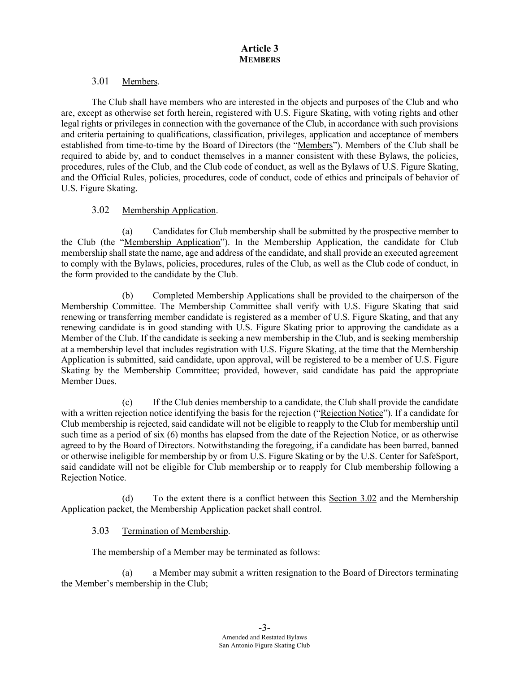### 3.01 Members.

The Club shall have members who are interested in the objects and purposes of the Club and who are, except as otherwise set forth herein, registered with U.S. Figure Skating, with voting rights and other legal rights or privileges in connection with the governance of the Club, in accordance with such provisions and criteria pertaining to qualifications, classification, privileges, application and acceptance of members established from time-to-time by the Board of Directors (the "Members"). Members of the Club shall be required to abide by, and to conduct themselves in a manner consistent with these Bylaws, the policies, procedures, rules of the Club, and the Club code of conduct, as well as the Bylaws of U.S. Figure Skating, and the Official Rules, policies, procedures, code of conduct, code of ethics and principals of behavior of U.S. Figure Skating.

# 3.02 Membership Application.

(a) Candidates for Club membership shall be submitted by the prospective member to the Club (the "Membership Application"). In the Membership Application, the candidate for Club membership shall state the name, age and address of the candidate, and shall provide an executed agreement to comply with the Bylaws, policies, procedures, rules of the Club, as well as the Club code of conduct, in the form provided to the candidate by the Club.

(b) Completed Membership Applications shall be provided to the chairperson of the Membership Committee. The Membership Committee shall verify with U.S. Figure Skating that said renewing or transferring member candidate is registered as a member of U.S. Figure Skating, and that any renewing candidate is in good standing with U.S. Figure Skating prior to approving the candidate as a Member of the Club. If the candidate is seeking a new membership in the Club, and is seeking membership at a membership level that includes registration with U.S. Figure Skating, at the time that the Membership Application is submitted, said candidate, upon approval, will be registered to be a member of U.S. Figure Skating by the Membership Committee; provided, however, said candidate has paid the appropriate Member Dues.

(c) If the Club denies membership to a candidate, the Club shall provide the candidate with a written rejection notice identifying the basis for the rejection ("Rejection Notice"). If a candidate for Club membership is rejected, said candidate will not be eligible to reapply to the Club for membership until such time as a period of six (6) months has elapsed from the date of the Rejection Notice, or as otherwise agreed to by the Board of Directors. Notwithstanding the foregoing, if a candidate has been barred, banned or otherwise ineligible for membership by or from U.S. Figure Skating or by the U.S. Center for SafeSport, said candidate will not be eligible for Club membership or to reapply for Club membership following a Rejection Notice.

To the extent there is a conflict between this Section 3.02 and the Membership Application packet, the Membership Application packet shall control.

# 3.03 Termination of Membership.

The membership of a Member may be terminated as follows:

(a) a Member may submit a written resignation to the Board of Directors terminating the Member's membership in the Club;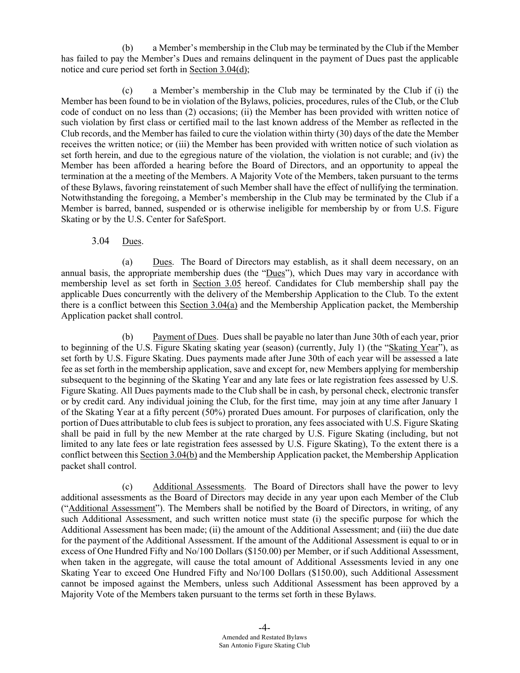(b) a Member's membership in the Club may be terminated by the Club if the Member has failed to pay the Member's Dues and remains delinquent in the payment of Dues past the applicable notice and cure period set forth in Section 3.04(d);

(c) a Member's membership in the Club may be terminated by the Club if (i) the Member has been found to be in violation of the Bylaws, policies, procedures, rules of the Club, or the Club code of conduct on no less than (2) occasions; (ii) the Member has been provided with written notice of such violation by first class or certified mail to the last known address of the Member as reflected in the Club records, and the Member has failed to cure the violation within thirty (30) days of the date the Member receives the written notice; or (iii) the Member has been provided with written notice of such violation as set forth herein, and due to the egregious nature of the violation, the violation is not curable; and (iv) the Member has been afforded a hearing before the Board of Directors, and an opportunity to appeal the termination at the a meeting of the Members. A Majority Vote of the Members, taken pursuant to the terms of these Bylaws, favoring reinstatement of such Member shall have the effect of nullifying the termination. Notwithstanding the foregoing, a Member's membership in the Club may be terminated by the Club if a Member is barred, banned, suspended or is otherwise ineligible for membership by or from U.S. Figure Skating or by the U.S. Center for SafeSport.

# 3.04 Dues.

(a) Dues. The Board of Directors may establish, as it shall deem necessary, on an annual basis, the appropriate membership dues (the "Dues"), which Dues may vary in accordance with membership level as set forth in Section 3.05 hereof. Candidates for Club membership shall pay the applicable Dues concurrently with the delivery of the Membership Application to the Club. To the extent there is a conflict between this Section 3.04(a) and the Membership Application packet, the Membership Application packet shall control.

(b) Payment of Dues. Dues shall be payable no later than June 30th of each year, prior to beginning of the U.S. Figure Skating skating year (season) (currently, July 1) (the "Skating Year"), as set forth by U.S. Figure Skating. Dues payments made after June 30th of each year will be assessed a late fee as set forth in the membership application, save and except for, new Members applying for membership subsequent to the beginning of the Skating Year and any late fees or late registration fees assessed by U.S. Figure Skating. All Dues payments made to the Club shall be in cash, by personal check, electronic transfer or by credit card. Any individual joining the Club, for the first time, may join at any time after January 1 of the Skating Year at a fifty percent (50%) prorated Dues amount. For purposes of clarification, only the portion of Dues attributable to club fees is subject to proration, any fees associated with U.S. Figure Skating shall be paid in full by the new Member at the rate charged by U.S. Figure Skating (including, but not limited to any late fees or late registration fees assessed by U.S. Figure Skating), To the extent there is a conflict between this Section 3.04(b) and the Membership Application packet, the Membership Application packet shall control.

(c) Additional Assessments. The Board of Directors shall have the power to levy additional assessments as the Board of Directors may decide in any year upon each Member of the Club ("Additional Assessment"). The Members shall be notified by the Board of Directors, in writing, of any such Additional Assessment, and such written notice must state (i) the specific purpose for which the Additional Assessment has been made; (ii) the amount of the Additional Assessment; and (iii) the due date for the payment of the Additional Assessment. If the amount of the Additional Assessment is equal to or in excess of One Hundred Fifty and No/100 Dollars (\$150.00) per Member, or if such Additional Assessment, when taken in the aggregate, will cause the total amount of Additional Assessments levied in any one Skating Year to exceed One Hundred Fifty and No/100 Dollars (\$150.00), such Additional Assessment cannot be imposed against the Members, unless such Additional Assessment has been approved by a Majority Vote of the Members taken pursuant to the terms set forth in these Bylaws.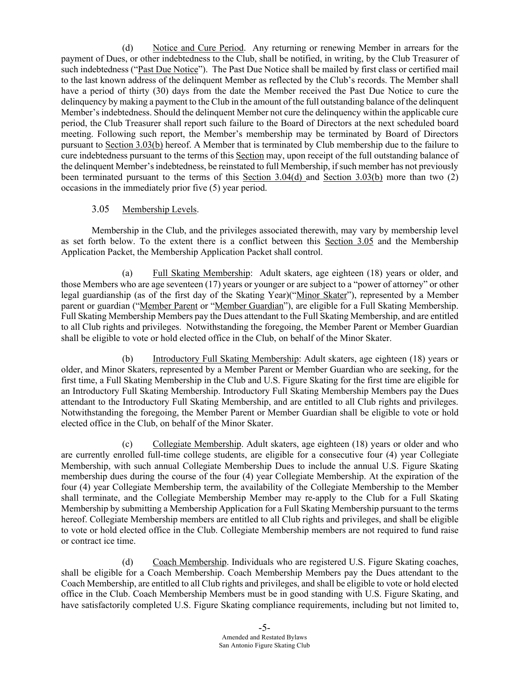(d) Notice and Cure Period. Any returning or renewing Member in arrears for the payment of Dues, or other indebtedness to the Club, shall be notified, in writing, by the Club Treasurer of such indebtedness ("Past Due Notice"). The Past Due Notice shall be mailed by first class or certified mail to the last known address of the delinquent Member as reflected by the Club's records. The Member shall have a period of thirty (30) days from the date the Member received the Past Due Notice to cure the delinquency by making a payment to the Club in the amount of the full outstanding balance of the delinquent Member's indebtedness. Should the delinquent Member not cure the delinquency within the applicable cure period, the Club Treasurer shall report such failure to the Board of Directors at the next scheduled board meeting. Following such report, the Member's membership may be terminated by Board of Directors pursuant to Section 3.03(b) hereof. A Member that is terminated by Club membership due to the failure to cure indebtedness pursuant to the terms of this Section may, upon receipt of the full outstanding balance of the delinquent Member's indebtedness, be reinstated to full Membership, if such member has not previously been terminated pursuant to the terms of this Section 3.04(d) and Section 3.03(b) more than two (2) occasions in the immediately prior five (5) year period.

#### 3.05 Membership Levels.

Membership in the Club, and the privileges associated therewith, may vary by membership level as set forth below. To the extent there is a conflict between this Section 3.05 and the Membership Application Packet, the Membership Application Packet shall control.

(a) Full Skating Membership: Adult skaters, age eighteen (18) years or older, and those Members who are age seventeen (17) years or younger or are subject to a "power of attorney" or other legal guardianship (as of the first day of the Skating Year)("Minor Skater"), represented by a Member parent or guardian ("Member Parent or "Member Guardian"), are eligible for a Full Skating Membership. Full Skating Membership Members pay the Dues attendant to the Full Skating Membership, and are entitled to all Club rights and privileges. Notwithstanding the foregoing, the Member Parent or Member Guardian shall be eligible to vote or hold elected office in the Club, on behalf of the Minor Skater.

(b) Introductory Full Skating Membership: Adult skaters, age eighteen (18) years or older, and Minor Skaters, represented by a Member Parent or Member Guardian who are seeking, for the first time, a Full Skating Membership in the Club and U.S. Figure Skating for the first time are eligible for an Introductory Full Skating Membership. Introductory Full Skating Membership Members pay the Dues attendant to the Introductory Full Skating Membership, and are entitled to all Club rights and privileges. Notwithstanding the foregoing, the Member Parent or Member Guardian shall be eligible to vote or hold elected office in the Club, on behalf of the Minor Skater.

(c) Collegiate Membership. Adult skaters, age eighteen (18) years or older and who are currently enrolled full-time college students, are eligible for a consecutive four (4) year Collegiate Membership, with such annual Collegiate Membership Dues to include the annual U.S. Figure Skating membership dues during the course of the four (4) year Collegiate Membership. At the expiration of the four (4) year Collegiate Membership term, the availability of the Collegiate Membership to the Member shall terminate, and the Collegiate Membership Member may re-apply to the Club for a Full Skating Membership by submitting a Membership Application for a Full Skating Membership pursuant to the terms hereof. Collegiate Membership members are entitled to all Club rights and privileges, and shall be eligible to vote or hold elected office in the Club. Collegiate Membership members are not required to fund raise or contract ice time.

(d) Coach Membership. Individuals who are registered U.S. Figure Skating coaches, shall be eligible for a Coach Membership. Coach Membership Members pay the Dues attendant to the Coach Membership, are entitled to all Club rights and privileges, and shall be eligible to vote or hold elected office in the Club. Coach Membership Members must be in good standing with U.S. Figure Skating, and have satisfactorily completed U.S. Figure Skating compliance requirements, including but not limited to,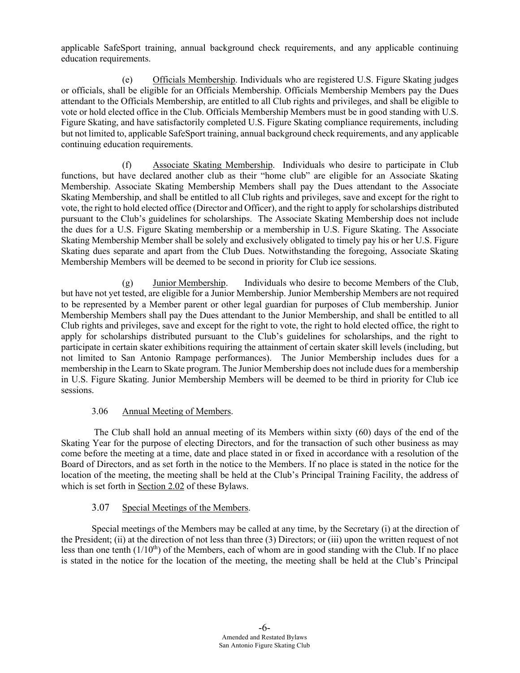applicable SafeSport training, annual background check requirements, and any applicable continuing education requirements.

(e) Officials Membership. Individuals who are registered U.S. Figure Skating judges or officials, shall be eligible for an Officials Membership. Officials Membership Members pay the Dues attendant to the Officials Membership, are entitled to all Club rights and privileges, and shall be eligible to vote or hold elected office in the Club. Officials Membership Members must be in good standing with U.S. Figure Skating, and have satisfactorily completed U.S. Figure Skating compliance requirements, including but not limited to, applicable SafeSport training, annual background check requirements, and any applicable continuing education requirements.

(f) Associate Skating Membership. Individuals who desire to participate in Club functions, but have declared another club as their "home club" are eligible for an Associate Skating Membership. Associate Skating Membership Members shall pay the Dues attendant to the Associate Skating Membership, and shall be entitled to all Club rights and privileges, save and except for the right to vote, the right to hold elected office (Director and Officer), and the right to apply for scholarships distributed pursuant to the Club's guidelines for scholarships. The Associate Skating Membership does not include the dues for a U.S. Figure Skating membership or a membership in U.S. Figure Skating. The Associate Skating Membership Member shall be solely and exclusively obligated to timely pay his or her U.S. Figure Skating dues separate and apart from the Club Dues. Notwithstanding the foregoing, Associate Skating Membership Members will be deemed to be second in priority for Club ice sessions.

(g) Junior Membership. Individuals who desire to become Members of the Club, but have not yet tested, are eligible for a Junior Membership. Junior Membership Members are not required to be represented by a Member parent or other legal guardian for purposes of Club membership. Junior Membership Members shall pay the Dues attendant to the Junior Membership, and shall be entitled to all Club rights and privileges, save and except for the right to vote, the right to hold elected office, the right to apply for scholarships distributed pursuant to the Club's guidelines for scholarships, and the right to participate in certain skater exhibitions requiring the attainment of certain skater skill levels (including, but not limited to San Antonio Rampage performances). The Junior Membership includes dues for a membership in the Learn to Skate program. The Junior Membership does not include dues for a membership in U.S. Figure Skating. Junior Membership Members will be deemed to be third in priority for Club ice sessions.

# 3.06 Annual Meeting of Members.

The Club shall hold an annual meeting of its Members within sixty (60) days of the end of the Skating Year for the purpose of electing Directors, and for the transaction of such other business as may come before the meeting at a time, date and place stated in or fixed in accordance with a resolution of the Board of Directors, and as set forth in the notice to the Members. If no place is stated in the notice for the location of the meeting, the meeting shall be held at the Club's Principal Training Facility, the address of which is set forth in Section 2.02 of these Bylaws.

# 3.07 Special Meetings of the Members.

Special meetings of the Members may be called at any time, by the Secretary (i) at the direction of the President; (ii) at the direction of not less than three (3) Directors; or (iii) upon the written request of not less than one tenth  $(1/10<sup>th</sup>)$  of the Members, each of whom are in good standing with the Club. If no place is stated in the notice for the location of the meeting, the meeting shall be held at the Club's Principal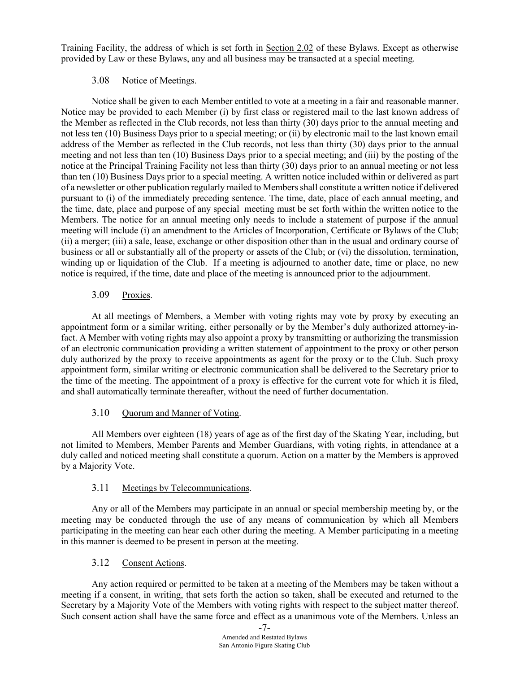Training Facility, the address of which is set forth in Section 2.02 of these Bylaws. Except as otherwise provided by Law or these Bylaws, any and all business may be transacted at a special meeting.

# 3.08 Notice of Meetings.

Notice shall be given to each Member entitled to vote at a meeting in a fair and reasonable manner. Notice may be provided to each Member (i) by first class or registered mail to the last known address of the Member as reflected in the Club records, not less than thirty (30) days prior to the annual meeting and not less ten (10) Business Days prior to a special meeting; or (ii) by electronic mail to the last known email address of the Member as reflected in the Club records, not less than thirty (30) days prior to the annual meeting and not less than ten (10) Business Days prior to a special meeting; and (iii) by the posting of the notice at the Principal Training Facility not less than thirty (30) days prior to an annual meeting or not less than ten (10) Business Days prior to a special meeting. A written notice included within or delivered as part of a newsletter or other publication regularly mailed to Members shall constitute a written notice if delivered pursuant to (i) of the immediately preceding sentence. The time, date, place of each annual meeting, and the time, date, place and purpose of any special meeting must be set forth within the written notice to the Members. The notice for an annual meeting only needs to include a statement of purpose if the annual meeting will include (i) an amendment to the Articles of Incorporation, Certificate or Bylaws of the Club; (ii) a merger; (iii) a sale, lease, exchange or other disposition other than in the usual and ordinary course of business or all or substantially all of the property or assets of the Club; or (vi) the dissolution, termination, winding up or liquidation of the Club. If a meeting is adjourned to another date, time or place, no new notice is required, if the time, date and place of the meeting is announced prior to the adjournment.

# 3.09 Proxies.

At all meetings of Members, a Member with voting rights may vote by proxy by executing an appointment form or a similar writing, either personally or by the Member's duly authorized attorney-infact. A Member with voting rights may also appoint a proxy by transmitting or authorizing the transmission of an electronic communication providing a written statement of appointment to the proxy or other person duly authorized by the proxy to receive appointments as agent for the proxy or to the Club. Such proxy appointment form, similar writing or electronic communication shall be delivered to the Secretary prior to the time of the meeting. The appointment of a proxy is effective for the current vote for which it is filed, and shall automatically terminate thereafter, without the need of further documentation.

# 3.10 Quorum and Manner of Voting.

All Members over eighteen (18) years of age as of the first day of the Skating Year, including, but not limited to Members, Member Parents and Member Guardians, with voting rights, in attendance at a duly called and noticed meeting shall constitute a quorum. Action on a matter by the Members is approved by a Majority Vote.

# 3.11 Meetings by Telecommunications.

Any or all of the Members may participate in an annual or special membership meeting by, or the meeting may be conducted through the use of any means of communication by which all Members participating in the meeting can hear each other during the meeting. A Member participating in a meeting in this manner is deemed to be present in person at the meeting.

# 3.12 Consent Actions.

Any action required or permitted to be taken at a meeting of the Members may be taken without a meeting if a consent, in writing, that sets forth the action so taken, shall be executed and returned to the Secretary by a Majority Vote of the Members with voting rights with respect to the subject matter thereof. Such consent action shall have the same force and effect as a unanimous vote of the Members. Unless an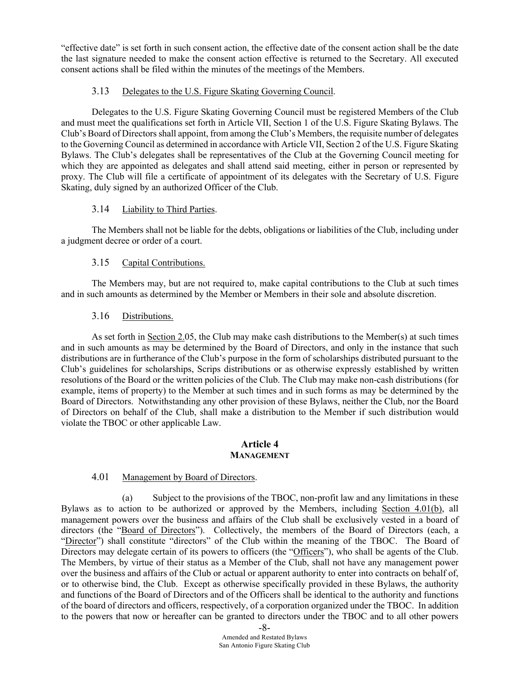"effective date" is set forth in such consent action, the effective date of the consent action shall be the date the last signature needed to make the consent action effective is returned to the Secretary. All executed consent actions shall be filed within the minutes of the meetings of the Members.

# 3.13 Delegates to the U.S. Figure Skating Governing Council.

Delegates to the U.S. Figure Skating Governing Council must be registered Members of the Club and must meet the qualifications set forth in Article VII, Section 1 of the U.S. Figure Skating Bylaws. The Club's Board of Directors shall appoint, from among the Club's Members, the requisite number of delegates to the Governing Council as determined in accordance with Article VII, Section 2 of the U.S. Figure Skating Bylaws. The Club's delegates shall be representatives of the Club at the Governing Council meeting for which they are appointed as delegates and shall attend said meeting, either in person or represented by proxy. The Club will file a certificate of appointment of its delegates with the Secretary of U.S. Figure Skating, duly signed by an authorized Officer of the Club.

## 3.14 Liability to Third Parties.

The Members shall not be liable for the debts, obligations or liabilities of the Club, including under a judgment decree or order of a court.

## 3.15 Capital Contributions.

The Members may, but are not required to, make capital contributions to the Club at such times and in such amounts as determined by the Member or Members in their sole and absolute discretion.

## 3.16 Distributions.

As set forth in Section 2.05, the Club may make cash distributions to the Member(s) at such times and in such amounts as may be determined by the Board of Directors, and only in the instance that such distributions are in furtherance of the Club's purpose in the form of scholarships distributed pursuant to the Club's guidelines for scholarships, Scrips distributions or as otherwise expressly established by written resolutions of the Board or the written policies of the Club. The Club may make non-cash distributions (for example, items of property) to the Member at such times and in such forms as may be determined by the Board of Directors. Notwithstanding any other provision of these Bylaws, neither the Club, nor the Board of Directors on behalf of the Club, shall make a distribution to the Member if such distribution would violate the TBOC or other applicable Law.

#### **Article 4 MANAGEMENT**

#### 4.01 Management by Board of Directors.

(a) Subject to the provisions of the TBOC, non-profit law and any limitations in these Bylaws as to action to be authorized or approved by the Members, including Section 4.01(b), all management powers over the business and affairs of the Club shall be exclusively vested in a board of directors (the "Board of Directors"). Collectively, the members of the Board of Directors (each, a "Director") shall constitute "directors" of the Club within the meaning of the TBOC. The Board of Directors may delegate certain of its powers to officers (the "Officers"), who shall be agents of the Club. The Members, by virtue of their status as a Member of the Club, shall not have any management power over the business and affairs of the Club or actual or apparent authority to enter into contracts on behalf of, or to otherwise bind, the Club. Except as otherwise specifically provided in these Bylaws, the authority and functions of the Board of Directors and of the Officers shall be identical to the authority and functions of the board of directors and officers, respectively, of a corporation organized under the TBOC. In addition to the powers that now or hereafter can be granted to directors under the TBOC and to all other powers

<sup>-8-</sup> Amended and Restated Bylaws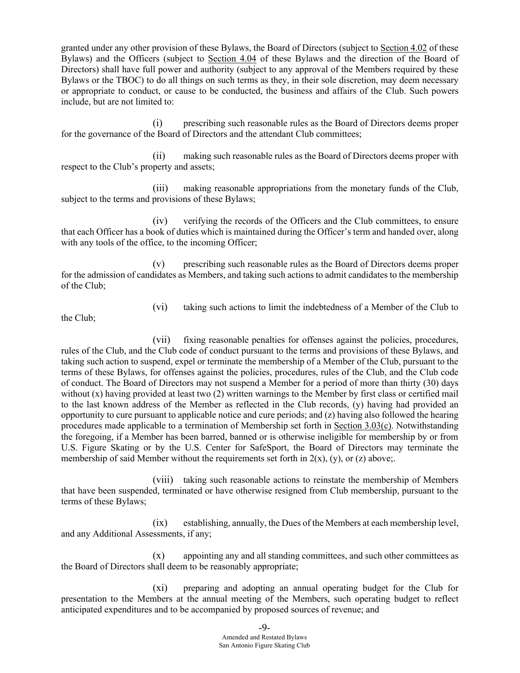granted under any other provision of these Bylaws, the Board of Directors (subject to Section 4.02 of these Bylaws) and the Officers (subject to Section 4.04 of these Bylaws and the direction of the Board of Directors) shall have full power and authority (subject to any approval of the Members required by these Bylaws or the TBOC) to do all things on such terms as they, in their sole discretion, may deem necessary or appropriate to conduct, or cause to be conducted, the business and affairs of the Club. Such powers include, but are not limited to:

(i) prescribing such reasonable rules as the Board of Directors deems proper for the governance of the Board of Directors and the attendant Club committees;

(ii) making such reasonable rules as the Board of Directors deems proper with respect to the Club's property and assets;

(iii) making reasonable appropriations from the monetary funds of the Club, subject to the terms and provisions of these Bylaws;

(iv) verifying the records of the Officers and the Club committees, to ensure that each Officer has a book of duties which is maintained during the Officer's term and handed over, along with any tools of the office, to the incoming Officer;

(v) prescribing such reasonable rules as the Board of Directors deems proper for the admission of candidates as Members, and taking such actions to admit candidates to the membership of the Club;

(vi) taking such actions to limit the indebtedness of a Member of the Club to

the Club;

(vii) fixing reasonable penalties for offenses against the policies, procedures, rules of the Club, and the Club code of conduct pursuant to the terms and provisions of these Bylaws, and taking such action to suspend, expel or terminate the membership of a Member of the Club, pursuant to the terms of these Bylaws, for offenses against the policies, procedures, rules of the Club, and the Club code of conduct. The Board of Directors may not suspend a Member for a period of more than thirty (30) days without (x) having provided at least two (2) written warnings to the Member by first class or certified mail to the last known address of the Member as reflected in the Club records, (y) having had provided an opportunity to cure pursuant to applicable notice and cure periods; and (z) having also followed the hearing procedures made applicable to a termination of Membership set forth in Section 3.03(c). Notwithstanding the foregoing, if a Member has been barred, banned or is otherwise ineligible for membership by or from U.S. Figure Skating or by the U.S. Center for SafeSport, the Board of Directors may terminate the membership of said Member without the requirements set forth in  $2(x)$ , (y), or (z) above;.

(viii) taking such reasonable actions to reinstate the membership of Members that have been suspended, terminated or have otherwise resigned from Club membership, pursuant to the terms of these Bylaws;

(ix) establishing, annually, the Dues of the Members at each membership level, and any Additional Assessments, if any;

(x) appointing any and all standing committees, and such other committees as the Board of Directors shall deem to be reasonably appropriate;

(xi) preparing and adopting an annual operating budget for the Club for presentation to the Members at the annual meeting of the Members, such operating budget to reflect anticipated expenditures and to be accompanied by proposed sources of revenue; and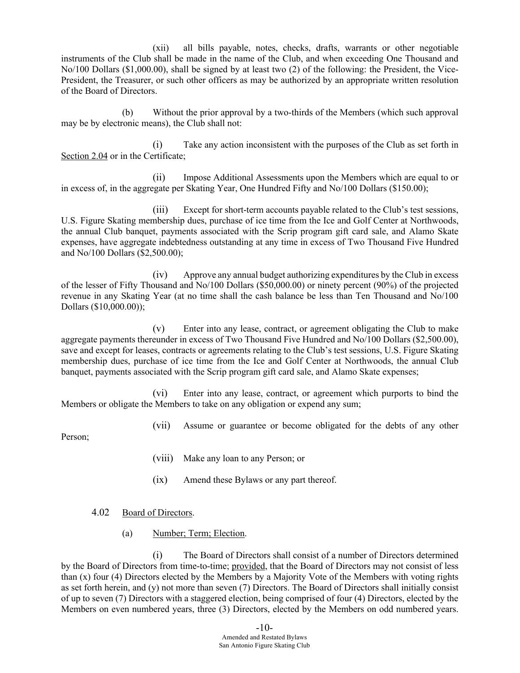(xii) all bills payable, notes, checks, drafts, warrants or other negotiable instruments of the Club shall be made in the name of the Club, and when exceeding One Thousand and No/100 Dollars (\$1,000.00), shall be signed by at least two (2) of the following: the President, the Vice-President, the Treasurer, or such other officers as may be authorized by an appropriate written resolution of the Board of Directors.

(b) Without the prior approval by a two-thirds of the Members (which such approval may be by electronic means), the Club shall not:

(i) Take any action inconsistent with the purposes of the Club as set forth in Section 2.04 or in the Certificate;

(ii) Impose Additional Assessments upon the Members which are equal to or in excess of, in the aggregate per Skating Year, One Hundred Fifty and No/100 Dollars (\$150.00);

(iii) Except for short-term accounts payable related to the Club's test sessions, U.S. Figure Skating membership dues, purchase of ice time from the Ice and Golf Center at Northwoods, the annual Club banquet, payments associated with the Scrip program gift card sale, and Alamo Skate expenses, have aggregate indebtedness outstanding at any time in excess of Two Thousand Five Hundred and No/100 Dollars (\$2,500.00);

(iv) Approve any annual budget authorizing expenditures by the Club in excess of the lesser of Fifty Thousand and No/100 Dollars (\$50,000.00) or ninety percent (90%) of the projected revenue in any Skating Year (at no time shall the cash balance be less than Ten Thousand and No/100 Dollars (\$10,000.00));

(v) Enter into any lease, contract, or agreement obligating the Club to make aggregate payments thereunder in excess of Two Thousand Five Hundred and No/100 Dollars (\$2,500.00), save and except for leases, contracts or agreements relating to the Club's test sessions, U.S. Figure Skating membership dues, purchase of ice time from the Ice and Golf Center at Northwoods, the annual Club banquet, payments associated with the Scrip program gift card sale, and Alamo Skate expenses;

(vi) Enter into any lease, contract, or agreement which purports to bind the Members or obligate the Members to take on any obligation or expend any sum;

(vii) Assume or guarantee or become obligated for the debts of any other

Person;

- (viii) Make any loan to any Person; or
- (ix) Amend these Bylaws or any part thereof.

#### 4.02 Board of Directors.

(a) Number; Term; Election.

(i) The Board of Directors shall consist of a number of Directors determined by the Board of Directors from time-to-time; provided, that the Board of Directors may not consist of less than (x) four (4) Directors elected by the Members by a Majority Vote of the Members with voting rights as set forth herein, and (y) not more than seven (7) Directors. The Board of Directors shall initially consist of up to seven (7) Directors with a staggered election, being comprised of four (4) Directors, elected by the Members on even numbered years, three (3) Directors, elected by the Members on odd numbered years.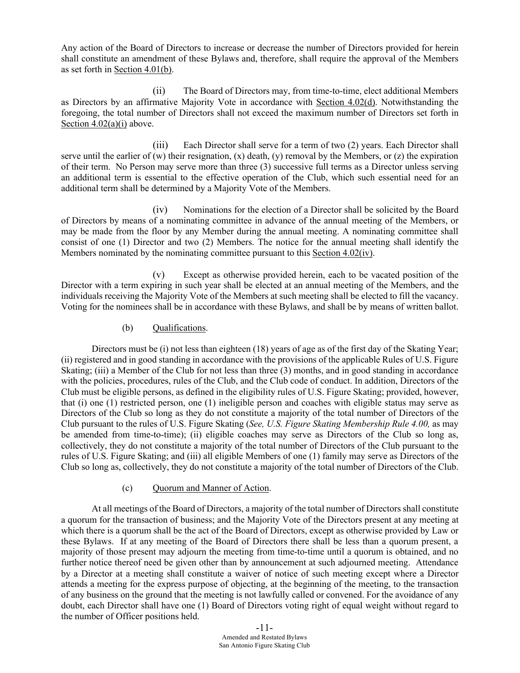Any action of the Board of Directors to increase or decrease the number of Directors provided for herein shall constitute an amendment of these Bylaws and, therefore, shall require the approval of the Members as set forth in Section 4.01(b).

(ii) The Board of Directors may, from time-to-time, elect additional Members as Directors by an affirmative Majority Vote in accordance with Section 4.02(d). Notwithstanding the foregoing, the total number of Directors shall not exceed the maximum number of Directors set forth in Section  $4.02(a)(i)$  above.

(iii) Each Director shall serve for a term of two (2) years. Each Director shall serve until the earlier of  $(w)$  their resignation,  $(x)$  death,  $(y)$  removal by the Members, or  $(z)$  the expiration of their term. No Person may serve more than three (3) successive full terms as a Director unless serving an additional term is essential to the effective operation of the Club, which such essential need for an additional term shall be determined by a Majority Vote of the Members.

(iv) Nominations for the election of a Director shall be solicited by the Board of Directors by means of a nominating committee in advance of the annual meeting of the Members, or may be made from the floor by any Member during the annual meeting. A nominating committee shall consist of one (1) Director and two (2) Members. The notice for the annual meeting shall identify the Members nominated by the nominating committee pursuant to this Section 4.02(iv).

(v) Except as otherwise provided herein, each to be vacated position of the Director with a term expiring in such year shall be elected at an annual meeting of the Members, and the individuals receiving the Majority Vote of the Members at such meeting shall be elected to fill the vacancy. Voting for the nominees shall be in accordance with these Bylaws, and shall be by means of written ballot.

## (b) Oualifications.

Directors must be (i) not less than eighteen (18) years of age as of the first day of the Skating Year; (ii) registered and in good standing in accordance with the provisions of the applicable Rules of U.S. Figure Skating; (iii) a Member of the Club for not less than three (3) months, and in good standing in accordance with the policies, procedures, rules of the Club, and the Club code of conduct. In addition, Directors of the Club must be eligible persons, as defined in the eligibility rules of U.S. Figure Skating; provided, however, that (i) one (1) restricted person, one (1) ineligible person and coaches with eligible status may serve as Directors of the Club so long as they do not constitute a majority of the total number of Directors of the Club pursuant to the rules of U.S. Figure Skating (*See, U.S. Figure Skating Membership Rule 4.00,* as may be amended from time-to-time); (ii) eligible coaches may serve as Directors of the Club so long as, collectively, they do not constitute a majority of the total number of Directors of the Club pursuant to the rules of U.S. Figure Skating; and (iii) all eligible Members of one (1) family may serve as Directors of the Club so long as, collectively, they do not constitute a majority of the total number of Directors of the Club.

# (c) Quorum and Manner of Action.

At all meetings of the Board of Directors, a majority of the total number of Directors shall constitute a quorum for the transaction of business; and the Majority Vote of the Directors present at any meeting at which there is a quorum shall be the act of the Board of Directors, except as otherwise provided by Law or these Bylaws. If at any meeting of the Board of Directors there shall be less than a quorum present, a majority of those present may adjourn the meeting from time-to-time until a quorum is obtained, and no further notice thereof need be given other than by announcement at such adjourned meeting. Attendance by a Director at a meeting shall constitute a waiver of notice of such meeting except where a Director attends a meeting for the express purpose of objecting, at the beginning of the meeting, to the transaction of any business on the ground that the meeting is not lawfully called or convened. For the avoidance of any doubt, each Director shall have one (1) Board of Directors voting right of equal weight without regard to the number of Officer positions held.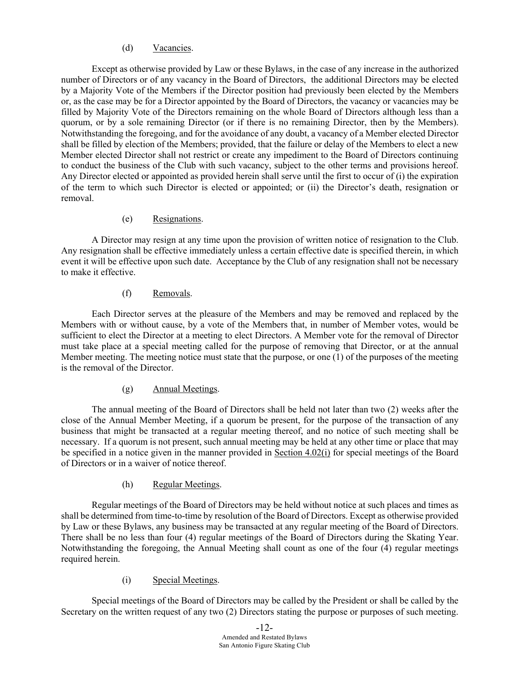## (d) Vacancies.

Except as otherwise provided by Law or these Bylaws, in the case of any increase in the authorized number of Directors or of any vacancy in the Board of Directors, the additional Directors may be elected by a Majority Vote of the Members if the Director position had previously been elected by the Members or, as the case may be for a Director appointed by the Board of Directors, the vacancy or vacancies may be filled by Majority Vote of the Directors remaining on the whole Board of Directors although less than a quorum, or by a sole remaining Director (or if there is no remaining Director, then by the Members). Notwithstanding the foregoing, and for the avoidance of any doubt, a vacancy of a Member elected Director shall be filled by election of the Members; provided, that the failure or delay of the Members to elect a new Member elected Director shall not restrict or create any impediment to the Board of Directors continuing to conduct the business of the Club with such vacancy, subject to the other terms and provisions hereof. Any Director elected or appointed as provided herein shall serve until the first to occur of (i) the expiration of the term to which such Director is elected or appointed; or (ii) the Director's death, resignation or removal.

## (e) Resignations.

A Director may resign at any time upon the provision of written notice of resignation to the Club. Any resignation shall be effective immediately unless a certain effective date is specified therein, in which event it will be effective upon such date. Acceptance by the Club of any resignation shall not be necessary to make it effective.

## (f) Removals.

Each Director serves at the pleasure of the Members and may be removed and replaced by the Members with or without cause, by a vote of the Members that, in number of Member votes, would be sufficient to elect the Director at a meeting to elect Directors. A Member vote for the removal of Director must take place at a special meeting called for the purpose of removing that Director, or at the annual Member meeting. The meeting notice must state that the purpose, or one (1) of the purposes of the meeting is the removal of the Director.

# (g) Annual Meetings.

The annual meeting of the Board of Directors shall be held not later than two (2) weeks after the close of the Annual Member Meeting, if a quorum be present, for the purpose of the transaction of any business that might be transacted at a regular meeting thereof, and no notice of such meeting shall be necessary. If a quorum is not present, such annual meeting may be held at any other time or place that may be specified in a notice given in the manner provided in Section 4.02(i) for special meetings of the Board of Directors or in a waiver of notice thereof.

# (h) Regular Meetings.

Regular meetings of the Board of Directors may be held without notice at such places and times as shall be determined from time-to-time by resolution of the Board of Directors. Except as otherwise provided by Law or these Bylaws, any business may be transacted at any regular meeting of the Board of Directors. There shall be no less than four (4) regular meetings of the Board of Directors during the Skating Year. Notwithstanding the foregoing, the Annual Meeting shall count as one of the four (4) regular meetings required herein.

# (i) Special Meetings.

Special meetings of the Board of Directors may be called by the President or shall be called by the Secretary on the written request of any two (2) Directors stating the purpose or purposes of such meeting.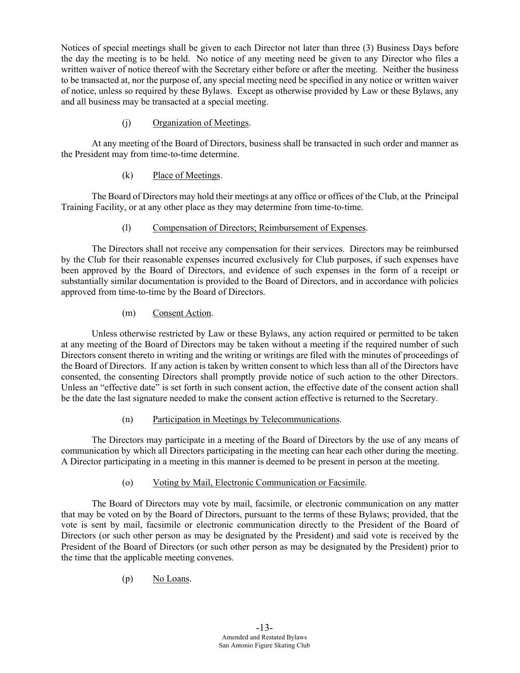Notices of special meetings shall be given to each Director not later than three (3) Business Days before the day the meeting is to be held. No notice of any meeting need be given to any Director who files a written waiver of notice thereof with the Secretary either before or after the meeting. Neither the business to be transacted at, nor the purpose of, any special meeting need be specified in any notice or written waiver of notice, unless so required by these Bylaws. Except as otherwise provided by Law or these Bylaws, any and all business may be transacted at a special meeting.

# (j) Organization of Meetings.

At any meeting of the Board of Directors, business shall be transacted in such order and manner as the President may from time-to-time determine.

# (k) Place of Meetings.

The Board of Directors may hold their meetings at any office or offices of the Club, at the Principal Training Facility, or at any other place as they may determine from time-to-time.

# (l) Compensation of Directors; Reimbursement of Expenses.

The Directors shall not receive any compensation for their services. Directors may be reimbursed by the Club for their reasonable expenses incurred exclusively for Club purposes, if such expenses have been approved by the Board of Directors, and evidence of such expenses in the form of a receipt or substantially similar documentation is provided to the Board of Directors, and in accordance with policies approved from time-to-time by the Board of Directors.

# (m) Consent Action.

Unless otherwise restricted by Law or these Bylaws, any action required or permitted to be taken at any meeting of the Board of Directors may be taken without a meeting if the required number of such Directors consent thereto in writing and the writing or writings are filed with the minutes of proceedings of the Board of Directors. If any action is taken by written consent to which less than all of the Directors have consented, the consenting Directors shall promptly provide notice of such action to the other Directors. Unless an "effective date" is set forth in such consent action, the effective date of the consent action shall be the date the last signature needed to make the consent action effective is returned to the Secretary.

# (n) Participation in Meetings by Telecommunications.

The Directors may participate in a meeting of the Board of Directors by the use of any means of communication by which all Directors participating in the meeting can hear each other during the meeting. A Director participating in a meeting in this manner is deemed to be present in person at the meeting.

# (o) Voting by Mail, Electronic Communication or Facsimile.

The Board of Directors may vote by mail, facsimile, or electronic communication on any matter that may be voted on by the Board of Directors, pursuant to the terms of these Bylaws; provided, that the vote is sent by mail, facsimile or electronic communication directly to the President of the Board of Directors (or such other person as may be designated by the President) and said vote is received by the President of the Board of Directors (or such other person as may be designated by the President) prior to the time that the applicable meeting convenes.

(p) No Loans.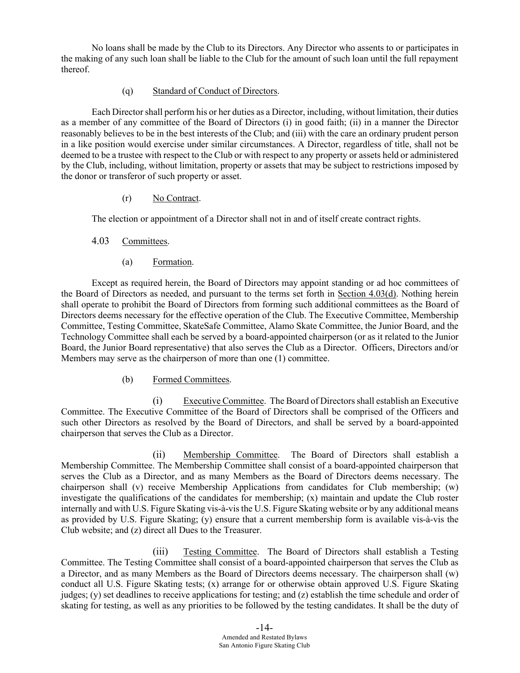No loans shall be made by the Club to its Directors. Any Director who assents to or participates in the making of any such loan shall be liable to the Club for the amount of such loan until the full repayment thereof.

## (q) Standard of Conduct of Directors.

Each Directorshall perform his or her duties as a Director, including, without limitation, their duties as a member of any committee of the Board of Directors (i) in good faith; (ii) in a manner the Director reasonably believes to be in the best interests of the Club; and (iii) with the care an ordinary prudent person in a like position would exercise under similar circumstances. A Director, regardless of title, shall not be deemed to be a trustee with respect to the Club or with respect to any property or assets held or administered by the Club, including, without limitation, property or assets that may be subject to restrictions imposed by the donor or transferor of such property or asset.

#### (r) No Contract.

The election or appointment of a Director shall not in and of itself create contract rights.

# 4.03 Committees.

(a) Formation.

Except as required herein, the Board of Directors may appoint standing or ad hoc committees of the Board of Directors as needed, and pursuant to the terms set forth in Section 4.03(d). Nothing herein shall operate to prohibit the Board of Directors from forming such additional committees as the Board of Directors deems necessary for the effective operation of the Club. The Executive Committee, Membership Committee, Testing Committee, SkateSafe Committee, Alamo Skate Committee, the Junior Board, and the Technology Committee shall each be served by a board-appointed chairperson (or as it related to the Junior Board, the Junior Board representative) that also serves the Club as a Director. Officers, Directors and/or Members may serve as the chairperson of more than one (1) committee.

# (b) Formed Committees.

(i) Executive Committee. The Board of Directors shall establish an Executive Committee. The Executive Committee of the Board of Directors shall be comprised of the Officers and such other Directors as resolved by the Board of Directors, and shall be served by a board-appointed chairperson that serves the Club as a Director.

(ii) Membership Committee. The Board of Directors shall establish a Membership Committee. The Membership Committee shall consist of a board-appointed chairperson that serves the Club as a Director, and as many Members as the Board of Directors deems necessary. The chairperson shall (v) receive Membership Applications from candidates for Club membership; (w) investigate the qualifications of the candidates for membership;  $(x)$  maintain and update the Club roster internally and with U.S. Figure Skating vis-à-vis the U.S. Figure Skating website or by any additional means as provided by U.S. Figure Skating; (y) ensure that a current membership form is available vis-à-vis the Club website; and (z) direct all Dues to the Treasurer.

(iii) Testing Committee. The Board of Directors shall establish a Testing Committee. The Testing Committee shall consist of a board-appointed chairperson that serves the Club as a Director, and as many Members as the Board of Directors deems necessary. The chairperson shall (w) conduct all U.S. Figure Skating tests; (x) arrange for or otherwise obtain approved U.S. Figure Skating judges; (y) set deadlines to receive applications for testing; and (z) establish the time schedule and order of skating for testing, as well as any priorities to be followed by the testing candidates. It shall be the duty of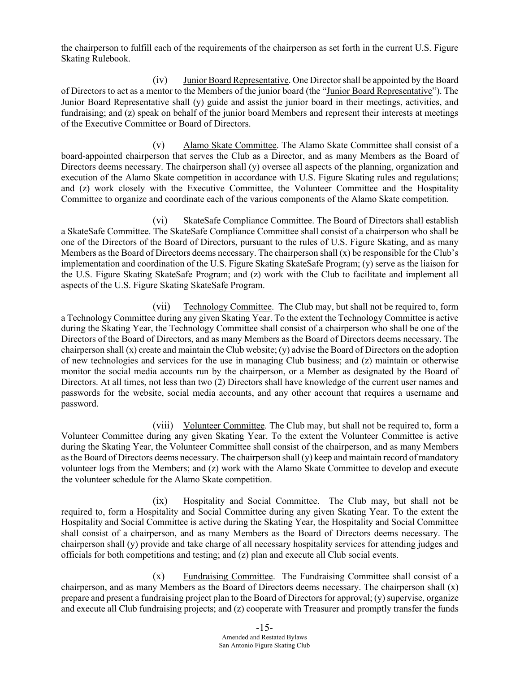the chairperson to fulfill each of the requirements of the chairperson as set forth in the current U.S. Figure Skating Rulebook.

(iv) Junior Board Representative. One Director shall be appointed by the Board of Directors to act as a mentor to the Members of the junior board (the "Junior Board Representative"). The Junior Board Representative shall (y) guide and assist the junior board in their meetings, activities, and fundraising; and (z) speak on behalf of the junior board Members and represent their interests at meetings of the Executive Committee or Board of Directors.

(v) Alamo Skate Committee. The Alamo Skate Committee shall consist of a board-appointed chairperson that serves the Club as a Director, and as many Members as the Board of Directors deems necessary. The chairperson shall (y) oversee all aspects of the planning, organization and execution of the Alamo Skate competition in accordance with U.S. Figure Skating rules and regulations; and (z) work closely with the Executive Committee, the Volunteer Committee and the Hospitality Committee to organize and coordinate each of the various components of the Alamo Skate competition.

(vi) SkateSafe Compliance Committee. The Board of Directors shall establish a SkateSafe Committee. The SkateSafe Compliance Committee shall consist of a chairperson who shall be one of the Directors of the Board of Directors, pursuant to the rules of U.S. Figure Skating, and as many Members as the Board of Directors deems necessary. The chairperson shall  $(x)$  be responsible for the Club's implementation and coordination of the U.S. Figure Skating SkateSafe Program; (y) serve as the liaison for the U.S. Figure Skating SkateSafe Program; and (z) work with the Club to facilitate and implement all aspects of the U.S. Figure Skating SkateSafe Program.

(vii) Technology Committee. The Club may, but shall not be required to, form a Technology Committee during any given Skating Year. To the extent the Technology Committee is active during the Skating Year, the Technology Committee shall consist of a chairperson who shall be one of the Directors of the Board of Directors, and as many Members as the Board of Directors deems necessary. The chairperson shall (x) create and maintain the Club website; (y) advise the Board of Directors on the adoption of new technologies and services for the use in managing Club business; and (z) maintain or otherwise monitor the social media accounts run by the chairperson, or a Member as designated by the Board of Directors. At all times, not less than two (2) Directors shall have knowledge of the current user names and passwords for the website, social media accounts, and any other account that requires a username and password.

(viii) Volunteer Committee. The Club may, but shall not be required to, form a Volunteer Committee during any given Skating Year. To the extent the Volunteer Committee is active during the Skating Year, the Volunteer Committee shall consist of the chairperson, and as many Members as the Board of Directors deems necessary. The chairperson shall (y) keep and maintain record of mandatory volunteer logs from the Members; and (z) work with the Alamo Skate Committee to develop and execute the volunteer schedule for the Alamo Skate competition.

(ix) Hospitality and Social Committee. The Club may, but shall not be required to, form a Hospitality and Social Committee during any given Skating Year. To the extent the Hospitality and Social Committee is active during the Skating Year, the Hospitality and Social Committee shall consist of a chairperson, and as many Members as the Board of Directors deems necessary. The chairperson shall (y) provide and take charge of all necessary hospitality services for attending judges and officials for both competitions and testing; and (z) plan and execute all Club social events.

(x) Fundraising Committee. The Fundraising Committee shall consist of a chairperson, and as many Members as the Board of Directors deems necessary. The chairperson shall (x) prepare and present a fundraising project plan to the Board of Directors for approval; (y) supervise, organize and execute all Club fundraising projects; and (z) cooperate with Treasurer and promptly transfer the funds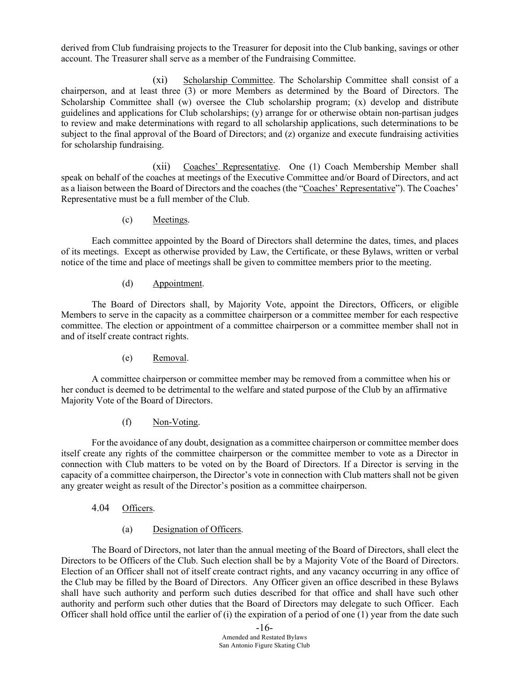derived from Club fundraising projects to the Treasurer for deposit into the Club banking, savings or other account. The Treasurer shall serve as a member of the Fundraising Committee.

(xi) Scholarship Committee. The Scholarship Committee shall consist of a chairperson, and at least three (3) or more Members as determined by the Board of Directors. The Scholarship Committee shall (w) oversee the Club scholarship program; (x) develop and distribute guidelines and applications for Club scholarships; (y) arrange for or otherwise obtain non-partisan judges to review and make determinations with regard to all scholarship applications, such determinations to be subject to the final approval of the Board of Directors; and (z) organize and execute fundraising activities for scholarship fundraising.

(xii) Coaches' Representative. One (1) Coach Membership Member shall speak on behalf of the coaches at meetings of the Executive Committee and/or Board of Directors, and act as a liaison between the Board of Directors and the coaches (the "Coaches' Representative"). The Coaches' Representative must be a full member of the Club.

(c) Meetings.

Each committee appointed by the Board of Directors shall determine the dates, times, and places of its meetings. Except as otherwise provided by Law, the Certificate, or these Bylaws, written or verbal notice of the time and place of meetings shall be given to committee members prior to the meeting.

## (d) Appointment.

The Board of Directors shall, by Majority Vote, appoint the Directors, Officers, or eligible Members to serve in the capacity as a committee chairperson or a committee member for each respective committee. The election or appointment of a committee chairperson or a committee member shall not in and of itself create contract rights.

(e) Removal.

A committee chairperson or committee member may be removed from a committee when his or her conduct is deemed to be detrimental to the welfare and stated purpose of the Club by an affirmative Majority Vote of the Board of Directors.

(f) Non-Voting.

For the avoidance of any doubt, designation as a committee chairperson or committee member does itself create any rights of the committee chairperson or the committee member to vote as a Director in connection with Club matters to be voted on by the Board of Directors. If a Director is serving in the capacity of a committee chairperson, the Director's vote in connection with Club matters shall not be given any greater weight as result of the Director's position as a committee chairperson.

- 4.04 Officers.
	- (a) Designation of Officers.

The Board of Directors, not later than the annual meeting of the Board of Directors, shall elect the Directors to be Officers of the Club. Such election shall be by a Majority Vote of the Board of Directors. Election of an Officer shall not of itself create contract rights, and any vacancy occurring in any office of the Club may be filled by the Board of Directors. Any Officer given an office described in these Bylaws shall have such authority and perform such duties described for that office and shall have such other authority and perform such other duties that the Board of Directors may delegate to such Officer. Each Officer shall hold office until the earlier of (i) the expiration of a period of one  $(1)$  year from the date such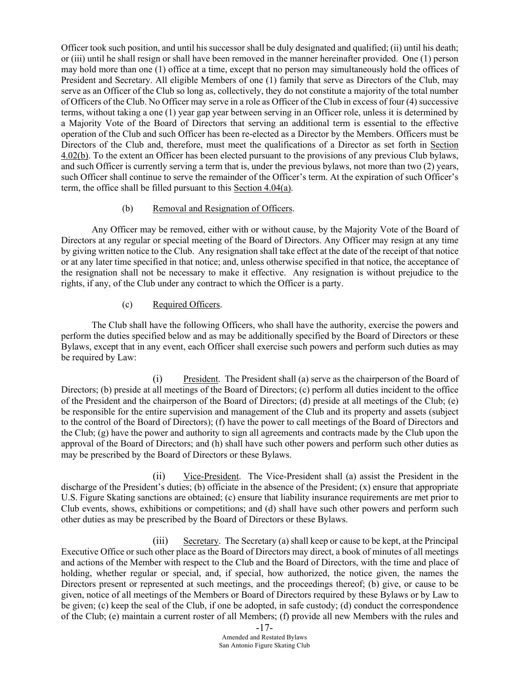Officer took such position, and until his successor shall be duly designated and qualified; (ii) until his death; or (iii) until he shall resign or shall have been removed in the manner hereinafter provided. One (1) person may hold more than one (1) office at a time, except that no person may simultaneously hold the offices of President and Secretary. All eligible Members of one (1) family that serve as Directors of the Club, may serve as an Officer of the Club so long as, collectively, they do not constitute a majority of the total number of Officers of the Club. No Officer may serve in a role as Officer of the Club in excess of four (4) successive terms, without taking a one (1) year gap year between serving in an Officer role, unless it is determined by a Majority Vote of the Board of Directors that serving an additional term is essential to the effective operation of the Club and such Officer has been re-elected as a Director by the Members. Officers must be Directors of the Club and, therefore, must meet the qualifications of a Director as set forth in Section 4.02(b). To the extent an Officer has been elected pursuant to the provisions of any previous Club bylaws, and such Officer is currently serving a term that is, under the previous bylaws, not more than two (2) years, such Officer shall continue to serve the remainder of the Officer's term. At the expiration of such Officer's term, the office shall be filled pursuant to this Section 4.04(a).

## (b) Removal and Resignation of Officers.

Any Officer may be removed, either with or without cause, by the Majority Vote of the Board of Directors at any regular or special meeting of the Board of Directors. Any Officer may resign at any time by giving written notice to the Club. Any resignation shall take effect at the date of the receipt of that notice or at any later time specified in that notice; and, unless otherwise specified in that notice, the acceptance of the resignation shall not be necessary to make it effective. Any resignation is without prejudice to the rights, if any, of the Club under any contract to which the Officer is a party.

# (c) Required Officers.

The Club shall have the following Officers, who shall have the authority, exercise the powers and perform the duties specified below and as may be additionally specified by the Board of Directors or these Bylaws, except that in any event, each Officer shall exercise such powers and perform such duties as may be required by Law:

(i) President. The President shall (a) serve as the chairperson of the Board of Directors; (b) preside at all meetings of the Board of Directors; (c) perform all duties incident to the office of the President and the chairperson of the Board of Directors; (d) preside at all meetings of the Club; (e) be responsible for the entire supervision and management of the Club and its property and assets (subject to the control of the Board of Directors); (f) have the power to call meetings of the Board of Directors and the Club; (g) have the power and authority to sign all agreements and contracts made by the Club upon the approval of the Board of Directors; and (h) shall have such other powers and perform such other duties as may be prescribed by the Board of Directors or these Bylaws.

(ii) Vice-President. The Vice-President shall (a) assist the President in the discharge of the President's duties; (b) officiate in the absence of the President; (x) ensure that appropriate U.S. Figure Skating sanctions are obtained; (c) ensure that liability insurance requirements are met prior to Club events, shows, exhibitions or competitions; and (d) shall have such other powers and perform such other duties as may be prescribed by the Board of Directors or these Bylaws.

(iii) Secretary. The Secretary (a) shall keep or cause to be kept, at the Principal Executive Office or such other place as the Board of Directors may direct, a book of minutes of all meetings and actions of the Member with respect to the Club and the Board of Directors, with the time and place of holding, whether regular or special, and, if special, how authorized, the notice given, the names the Directors present or represented at such meetings, and the proceedings thereof; (b) give, or cause to be given, notice of all meetings of the Members or Board of Directors required by these Bylaws or by Law to be given; (c) keep the seal of the Club, if one be adopted, in safe custody; (d) conduct the correspondence of the Club; (e) maintain a current roster of all Members; (f) provide all new Members with the rules and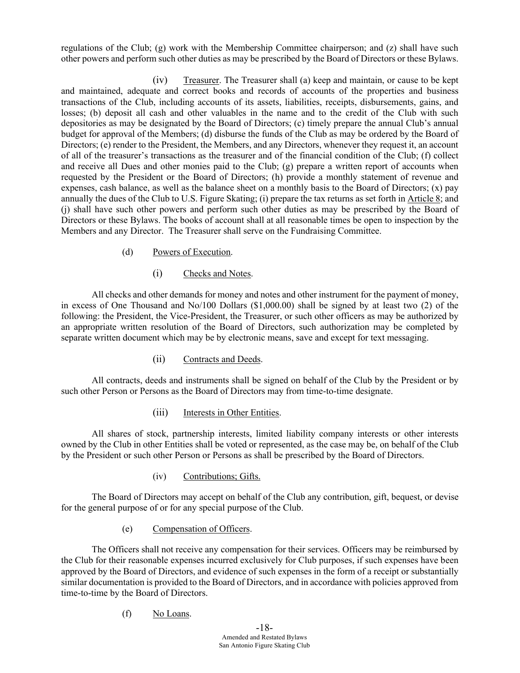regulations of the Club; (g) work with the Membership Committee chairperson; and (z) shall have such other powers and perform such other duties as may be prescribed by the Board of Directors or these Bylaws.

(iv) Treasurer. The Treasurer shall (a) keep and maintain, or cause to be kept and maintained, adequate and correct books and records of accounts of the properties and business transactions of the Club, including accounts of its assets, liabilities, receipts, disbursements, gains, and losses; (b) deposit all cash and other valuables in the name and to the credit of the Club with such depositories as may be designated by the Board of Directors; (c) timely prepare the annual Club's annual budget for approval of the Members; (d) disburse the funds of the Club as may be ordered by the Board of Directors; (e) render to the President, the Members, and any Directors, whenever they request it, an account of all of the treasurer's transactions as the treasurer and of the financial condition of the Club; (f) collect and receive all Dues and other monies paid to the Club; (g) prepare a written report of accounts when requested by the President or the Board of Directors; (h) provide a monthly statement of revenue and expenses, cash balance, as well as the balance sheet on a monthly basis to the Board of Directors;  $(x)$  pay annually the dues of the Club to U.S. Figure Skating; (i) prepare the tax returns as set forth in Article 8; and (j) shall have such other powers and perform such other duties as may be prescribed by the Board of Directors or these Bylaws. The books of account shall at all reasonable times be open to inspection by the Members and any Director. The Treasurer shall serve on the Fundraising Committee.

## (d) Powers of Execution.

# (i) Checks and Notes.

All checks and other demands for money and notes and other instrument for the payment of money, in excess of One Thousand and No/100 Dollars (\$1,000.00) shall be signed by at least two (2) of the following: the President, the Vice-President, the Treasurer, or such other officers as may be authorized by an appropriate written resolution of the Board of Directors, such authorization may be completed by separate written document which may be by electronic means, save and except for text messaging.

# (ii) Contracts and Deeds.

All contracts, deeds and instruments shall be signed on behalf of the Club by the President or by such other Person or Persons as the Board of Directors may from time-to-time designate.

#### (iii) Interests in Other Entities.

All shares of stock, partnership interests, limited liability company interests or other interests owned by the Club in other Entities shall be voted or represented, as the case may be, on behalf of the Club by the President or such other Person or Persons as shall be prescribed by the Board of Directors.

(iv) Contributions; Gifts.

The Board of Directors may accept on behalf of the Club any contribution, gift, bequest, or devise for the general purpose of or for any special purpose of the Club.

#### (e) Compensation of Officers.

The Officers shall not receive any compensation for their services. Officers may be reimbursed by the Club for their reasonable expenses incurred exclusively for Club purposes, if such expenses have been approved by the Board of Directors, and evidence of such expenses in the form of a receipt or substantially similar documentation is provided to the Board of Directors, and in accordance with policies approved from time-to-time by the Board of Directors.

#### (f) No Loans.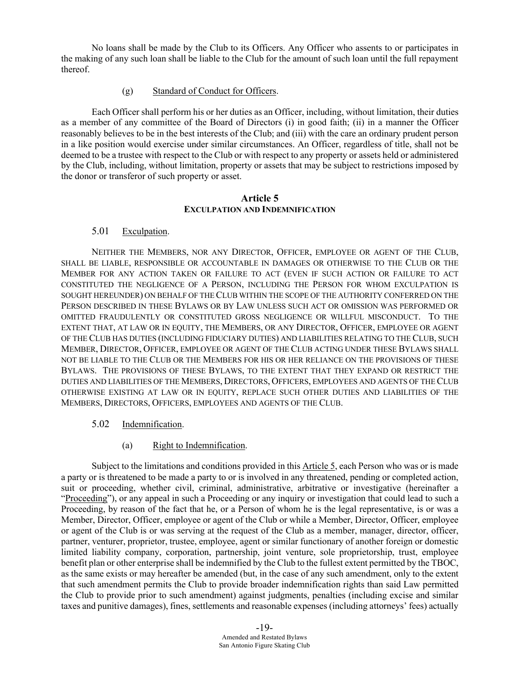No loans shall be made by the Club to its Officers. Any Officer who assents to or participates in the making of any such loan shall be liable to the Club for the amount of such loan until the full repayment thereof.

#### (g) Standard of Conduct for Officers.

Each Officer shall perform his or her duties as an Officer, including, without limitation, their duties as a member of any committee of the Board of Directors (i) in good faith; (ii) in a manner the Officer reasonably believes to be in the best interests of the Club; and (iii) with the care an ordinary prudent person in a like position would exercise under similar circumstances. An Officer, regardless of title, shall not be deemed to be a trustee with respect to the Club or with respect to any property or assets held or administered by the Club, including, without limitation, property or assets that may be subject to restrictions imposed by the donor or transferor of such property or asset.

#### **Article 5 EXCULPATION AND INDEMNIFICATION**

#### 5.01 Exculpation.

NEITHER THE MEMBERS, NOR ANY DIRECTOR, OFFICER, EMPLOYEE OR AGENT OF THE CLUB, SHALL BE LIABLE, RESPONSIBLE OR ACCOUNTABLE IN DAMAGES OR OTHERWISE TO THE CLUB OR THE MEMBER FOR ANY ACTION TAKEN OR FAILURE TO ACT (EVEN IF SUCH ACTION OR FAILURE TO ACT CONSTITUTED THE NEGLIGENCE OF A PERSON, INCLUDING THE PERSON FOR WHOM EXCULPATION IS SOUGHT HEREUNDER) ON BEHALF OF THE CLUB WITHIN THE SCOPE OF THE AUTHORITY CONFERRED ON THE PERSON DESCRIBED IN THESE BYLAWS OR BY LAW UNLESS SUCH ACT OR OMISSION WAS PERFORMED OR OMITTED FRAUDULENTLY OR CONSTITUTED GROSS NEGLIGENCE OR WILLFUL MISCONDUCT. TO THE EXTENT THAT, AT LAW OR IN EQUITY, THE MEMBERS, OR ANY DIRECTOR, OFFICER, EMPLOYEE OR AGENT OF THE CLUB HAS DUTIES (INCLUDING FIDUCIARY DUTIES) AND LIABILITIES RELATING TO THE CLUB, SUCH MEMBER, DIRECTOR, OFFICER, EMPLOYEE OR AGENT OF THE CLUB ACTING UNDER THESE BYLAWS SHALL NOT BE LIABLE TO THE CLUB OR THE MEMBERS FOR HIS OR HER RELIANCE ON THE PROVISIONS OF THESE BYLAWS. THE PROVISIONS OF THESE BYLAWS, TO THE EXTENT THAT THEY EXPAND OR RESTRICT THE DUTIES AND LIABILITIES OF THE MEMBERS, DIRECTORS, OFFICERS, EMPLOYEES AND AGENTS OF THE CLUB OTHERWISE EXISTING AT LAW OR IN EQUITY, REPLACE SUCH OTHER DUTIES AND LIABILITIES OF THE MEMBERS, DIRECTORS, OFFICERS, EMPLOYEES AND AGENTS OF THE CLUB.

#### 5.02 Indemnification.

#### (a) Right to Indemnification.

Subject to the limitations and conditions provided in this Article 5, each Person who was or is made a party or is threatened to be made a party to or is involved in any threatened, pending or completed action, suit or proceeding, whether civil, criminal, administrative, arbitrative or investigative (hereinafter a "Proceeding"), or any appeal in such a Proceeding or any inquiry or investigation that could lead to such a Proceeding, by reason of the fact that he, or a Person of whom he is the legal representative, is or was a Member, Director, Officer, employee or agent of the Club or while a Member, Director, Officer, employee or agent of the Club is or was serving at the request of the Club as a member, manager, director, officer, partner, venturer, proprietor, trustee, employee, agent or similar functionary of another foreign or domestic limited liability company, corporation, partnership, joint venture, sole proprietorship, trust, employee benefit plan or other enterprise shall be indemnified by the Club to the fullest extent permitted by the TBOC, as the same exists or may hereafter be amended (but, in the case of any such amendment, only to the extent that such amendment permits the Club to provide broader indemnification rights than said Law permitted the Club to provide prior to such amendment) against judgments, penalties (including excise and similar taxes and punitive damages), fines, settlements and reasonable expenses (including attorneys' fees) actually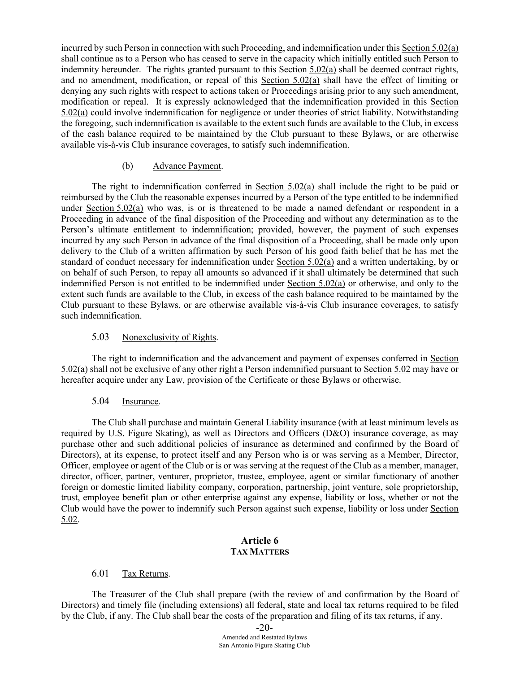incurred by such Person in connection with such Proceeding, and indemnification under this Section 5.02(a) shall continue as to a Person who has ceased to serve in the capacity which initially entitled such Person to indemnity hereunder. The rights granted pursuant to this Section 5.02(a) shall be deemed contract rights, and no amendment, modification, or repeal of this Section 5.02(a) shall have the effect of limiting or denying any such rights with respect to actions taken or Proceedings arising prior to any such amendment, modification or repeal. It is expressly acknowledged that the indemnification provided in this Section 5.02(a) could involve indemnification for negligence or under theories of strict liability. Notwithstanding the foregoing, such indemnification is available to the extent such funds are available to the Club, in excess of the cash balance required to be maintained by the Club pursuant to these Bylaws, or are otherwise available vis-à-vis Club insurance coverages, to satisfy such indemnification.

#### (b) Advance Payment.

The right to indemnification conferred in Section  $5.02(a)$  shall include the right to be paid or reimbursed by the Club the reasonable expenses incurred by a Person of the type entitled to be indemnified under Section 5.02(a) who was, is or is threatened to be made a named defendant or respondent in a Proceeding in advance of the final disposition of the Proceeding and without any determination as to the Person's ultimate entitlement to indemnification; provided, however, the payment of such expenses incurred by any such Person in advance of the final disposition of a Proceeding, shall be made only upon delivery to the Club of a written affirmation by such Person of his good faith belief that he has met the standard of conduct necessary for indemnification under Section 5.02(a) and a written undertaking, by or on behalf of such Person, to repay all amounts so advanced if it shall ultimately be determined that such indemnified Person is not entitled to be indemnified under Section 5.02(a) or otherwise, and only to the extent such funds are available to the Club, in excess of the cash balance required to be maintained by the Club pursuant to these Bylaws, or are otherwise available vis-à-vis Club insurance coverages, to satisfy such indemnification.

#### 5.03 Nonexclusivity of Rights.

The right to indemnification and the advancement and payment of expenses conferred in Section 5.02(a) shall not be exclusive of any other right a Person indemnified pursuant to Section 5.02 may have or hereafter acquire under any Law, provision of the Certificate or these Bylaws or otherwise.

#### 5.04 Insurance.

The Club shall purchase and maintain General Liability insurance (with at least minimum levels as required by U.S. Figure Skating), as well as Directors and Officers (D&O) insurance coverage, as may purchase other and such additional policies of insurance as determined and confirmed by the Board of Directors), at its expense, to protect itself and any Person who is or was serving as a Member, Director, Officer, employee or agent of the Club or is or was serving at the request of the Club as a member, manager, director, officer, partner, venturer, proprietor, trustee, employee, agent or similar functionary of another foreign or domestic limited liability company, corporation, partnership, joint venture, sole proprietorship, trust, employee benefit plan or other enterprise against any expense, liability or loss, whether or not the Club would have the power to indemnify such Person against such expense, liability or loss under Section 5.02.

## **Article 6 TAX MATTERS**

#### 6.01 Tax Returns.

The Treasurer of the Club shall prepare (with the review of and confirmation by the Board of Directors) and timely file (including extensions) all federal, state and local tax returns required to be filed by the Club, if any. The Club shall bear the costs of the preparation and filing of its tax returns, if any.

-20-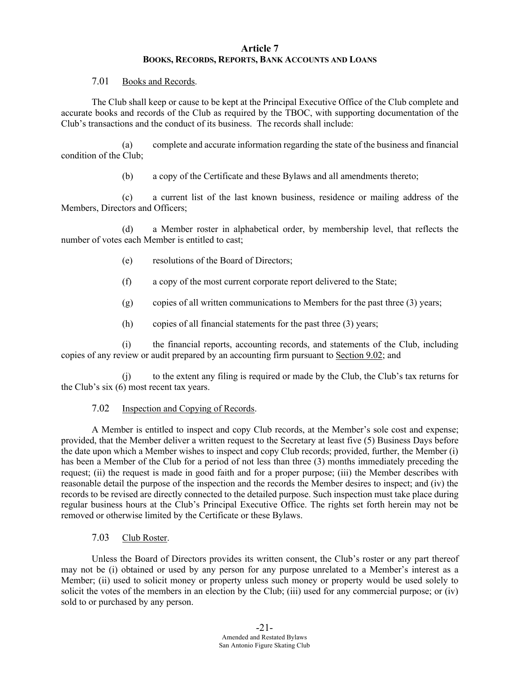## **Article 7 BOOKS, RECORDS, REPORTS, BANK ACCOUNTS AND LOANS**

#### 7.01 Books and Records.

The Club shall keep or cause to be kept at the Principal Executive Office of the Club complete and accurate books and records of the Club as required by the TBOC, with supporting documentation of the Club's transactions and the conduct of its business. The records shall include:

(a) complete and accurate information regarding the state of the business and financial condition of the Club;

(b) a copy of the Certificate and these Bylaws and all amendments thereto;

(c) a current list of the last known business, residence or mailing address of the Members, Directors and Officers;

(d) a Member roster in alphabetical order, by membership level, that reflects the number of votes each Member is entitled to cast;

- (e) resolutions of the Board of Directors;
- (f) a copy of the most current corporate report delivered to the State;
- (g) copies of all written communications to Members for the past three (3) years;
- (h) copies of all financial statements for the past three (3) years;

(i) the financial reports, accounting records, and statements of the Club, including copies of any review or audit prepared by an accounting firm pursuant to Section 9.02; and

(j) to the extent any filing is required or made by the Club, the Club's tax returns for the Club's six (6) most recent tax years.

# 7.02 Inspection and Copying of Records.

A Member is entitled to inspect and copy Club records, at the Member's sole cost and expense; provided, that the Member deliver a written request to the Secretary at least five (5) Business Days before the date upon which a Member wishes to inspect and copy Club records; provided, further, the Member (i) has been a Member of the Club for a period of not less than three (3) months immediately preceding the request; (ii) the request is made in good faith and for a proper purpose; (iii) the Member describes with reasonable detail the purpose of the inspection and the records the Member desires to inspect; and (iv) the records to be revised are directly connected to the detailed purpose. Such inspection must take place during regular business hours at the Club's Principal Executive Office. The rights set forth herein may not be removed or otherwise limited by the Certificate or these Bylaws.

7.03 Club Roster.

Unless the Board of Directors provides its written consent, the Club's roster or any part thereof may not be (i) obtained or used by any person for any purpose unrelated to a Member's interest as a Member; (ii) used to solicit money or property unless such money or property would be used solely to solicit the votes of the members in an election by the Club; (iii) used for any commercial purpose; or (iv) sold to or purchased by any person.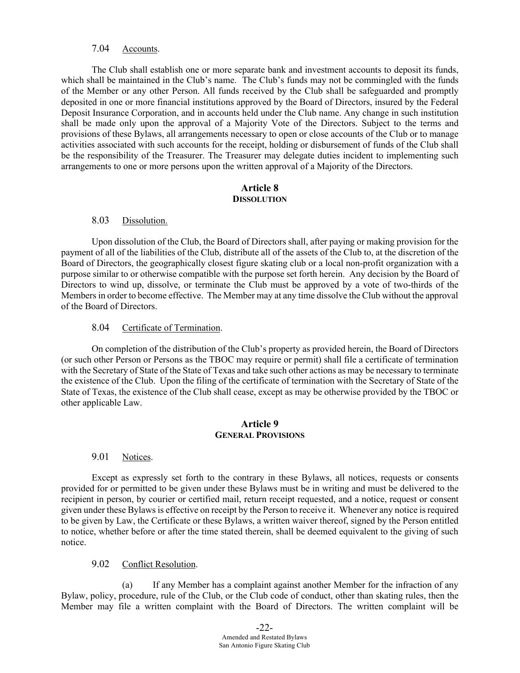#### 7.04 Accounts.

The Club shall establish one or more separate bank and investment accounts to deposit its funds, which shall be maintained in the Club's name. The Club's funds may not be commingled with the funds of the Member or any other Person. All funds received by the Club shall be safeguarded and promptly deposited in one or more financial institutions approved by the Board of Directors, insured by the Federal Deposit Insurance Corporation, and in accounts held under the Club name. Any change in such institution shall be made only upon the approval of a Majority Vote of the Directors. Subject to the terms and provisions of these Bylaws, all arrangements necessary to open or close accounts of the Club or to manage activities associated with such accounts for the receipt, holding or disbursement of funds of the Club shall be the responsibility of the Treasurer. The Treasurer may delegate duties incident to implementing such arrangements to one or more persons upon the written approval of a Majority of the Directors.

### **Article 8 DISSOLUTION**

#### 8.03 Dissolution.

Upon dissolution of the Club, the Board of Directors shall, after paying or making provision for the payment of all of the liabilities of the Club, distribute all of the assets of the Club to, at the discretion of the Board of Directors, the geographically closest figure skating club or a local non-profit organization with a purpose similar to or otherwise compatible with the purpose set forth herein. Any decision by the Board of Directors to wind up, dissolve, or terminate the Club must be approved by a vote of two-thirds of the Members in order to become effective. The Member may at any time dissolve the Club without the approval of the Board of Directors.

#### 8.04 Certificate of Termination.

On completion of the distribution of the Club's property as provided herein, the Board of Directors (or such other Person or Persons as the TBOC may require or permit) shall file a certificate of termination with the Secretary of State of the State of Texas and take such other actions as may be necessary to terminate the existence of the Club. Upon the filing of the certificate of termination with the Secretary of State of the State of Texas, the existence of the Club shall cease, except as may be otherwise provided by the TBOC or other applicable Law.

#### **Article 9 GENERAL PROVISIONS**

#### 9.01 Notices.

Except as expressly set forth to the contrary in these Bylaws, all notices, requests or consents provided for or permitted to be given under these Bylaws must be in writing and must be delivered to the recipient in person, by courier or certified mail, return receipt requested, and a notice, request or consent given under these Bylaws is effective on receipt by the Person to receive it. Whenever any notice is required to be given by Law, the Certificate or these Bylaws, a written waiver thereof, signed by the Person entitled to notice, whether before or after the time stated therein, shall be deemed equivalent to the giving of such notice.

#### 9.02 Conflict Resolution.

(a) If any Member has a complaint against another Member for the infraction of any Bylaw, policy, procedure, rule of the Club, or the Club code of conduct, other than skating rules, then the Member may file a written complaint with the Board of Directors. The written complaint will be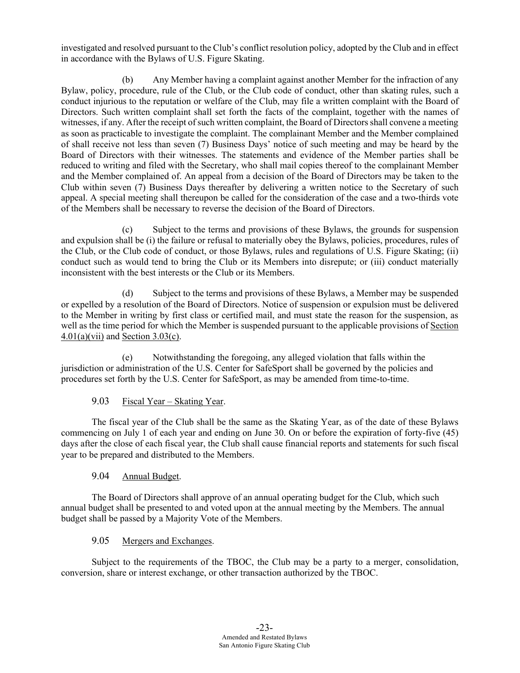investigated and resolved pursuant to the Club's conflict resolution policy, adopted by the Club and in effect in accordance with the Bylaws of U.S. Figure Skating.

(b) Any Member having a complaint against another Member for the infraction of any Bylaw, policy, procedure, rule of the Club, or the Club code of conduct, other than skating rules, such a conduct injurious to the reputation or welfare of the Club, may file a written complaint with the Board of Directors. Such written complaint shall set forth the facts of the complaint, together with the names of witnesses, if any. After the receipt of such written complaint, the Board of Directors shall convene a meeting as soon as practicable to investigate the complaint. The complainant Member and the Member complained of shall receive not less than seven (7) Business Days' notice of such meeting and may be heard by the Board of Directors with their witnesses. The statements and evidence of the Member parties shall be reduced to writing and filed with the Secretary, who shall mail copies thereof to the complainant Member and the Member complained of. An appeal from a decision of the Board of Directors may be taken to the Club within seven (7) Business Days thereafter by delivering a written notice to the Secretary of such appeal. A special meeting shall thereupon be called for the consideration of the case and a two-thirds vote of the Members shall be necessary to reverse the decision of the Board of Directors.

(c) Subject to the terms and provisions of these Bylaws, the grounds for suspension and expulsion shall be (i) the failure or refusal to materially obey the Bylaws, policies, procedures, rules of the Club, or the Club code of conduct, or those Bylaws, rules and regulations of U.S. Figure Skating; (ii) conduct such as would tend to bring the Club or its Members into disrepute; or (iii) conduct materially inconsistent with the best interests or the Club or its Members.

(d) Subject to the terms and provisions of these Bylaws, a Member may be suspended or expelled by a resolution of the Board of Directors. Notice of suspension or expulsion must be delivered to the Member in writing by first class or certified mail, and must state the reason for the suspension, as well as the time period for which the Member is suspended pursuant to the applicable provisions of Section  $4.01(a)(vii)$  and Section 3.03(c).

(e) Notwithstanding the foregoing, any alleged violation that falls within the jurisdiction or administration of the U.S. Center for SafeSport shall be governed by the policies and procedures set forth by the U.S. Center for SafeSport, as may be amended from time-to-time.

9.03 Fiscal Year – Skating Year.

The fiscal year of the Club shall be the same as the Skating Year, as of the date of these Bylaws commencing on July 1 of each year and ending on June 30. On or before the expiration of forty-five (45) days after the close of each fiscal year, the Club shall cause financial reports and statements for such fiscal year to be prepared and distributed to the Members.

# 9.04 Annual Budget.

The Board of Directors shall approve of an annual operating budget for the Club, which such annual budget shall be presented to and voted upon at the annual meeting by the Members. The annual budget shall be passed by a Majority Vote of the Members.

# 9.05 Mergers and Exchanges.

Subject to the requirements of the TBOC, the Club may be a party to a merger, consolidation, conversion, share or interest exchange, or other transaction authorized by the TBOC.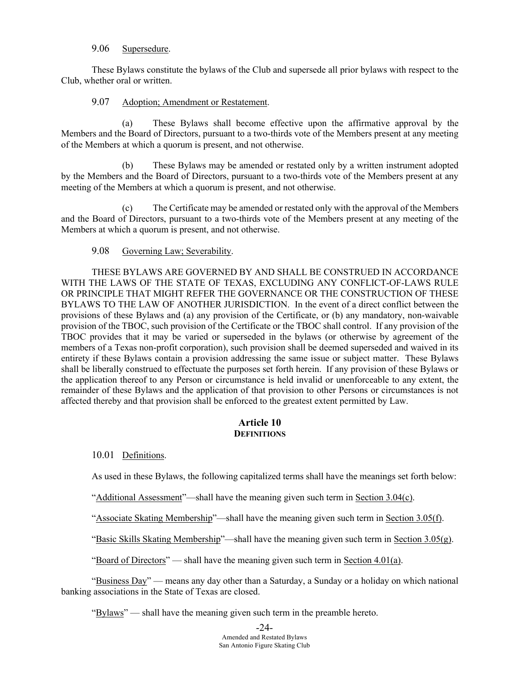## 9.06 Supersedure.

These Bylaws constitute the bylaws of the Club and supersede all prior bylaws with respect to the Club, whether oral or written.

#### 9.07 Adoption; Amendment or Restatement.

(a) These Bylaws shall become effective upon the affirmative approval by the Members and the Board of Directors, pursuant to a two-thirds vote of the Members present at any meeting of the Members at which a quorum is present, and not otherwise.

(b) These Bylaws may be amended or restated only by a written instrument adopted by the Members and the Board of Directors, pursuant to a two-thirds vote of the Members present at any meeting of the Members at which a quorum is present, and not otherwise.

(c) The Certificate may be amended or restated only with the approval of the Members and the Board of Directors, pursuant to a two-thirds vote of the Members present at any meeting of the Members at which a quorum is present, and not otherwise.

#### 9.08 Governing Law; Severability.

THESE BYLAWS ARE GOVERNED BY AND SHALL BE CONSTRUED IN ACCORDANCE WITH THE LAWS OF THE STATE OF TEXAS, EXCLUDING ANY CONFLICT-OF-LAWS RULE OR PRINCIPLE THAT MIGHT REFER THE GOVERNANCE OR THE CONSTRUCTION OF THESE BYLAWS TO THE LAW OF ANOTHER JURISDICTION. In the event of a direct conflict between the provisions of these Bylaws and (a) any provision of the Certificate, or (b) any mandatory, non-waivable provision of the TBOC, such provision of the Certificate or the TBOC shall control. If any provision of the TBOC provides that it may be varied or superseded in the bylaws (or otherwise by agreement of the members of a Texas non-profit corporation), such provision shall be deemed superseded and waived in its entirety if these Bylaws contain a provision addressing the same issue or subject matter. These Bylaws shall be liberally construed to effectuate the purposes set forth herein. If any provision of these Bylaws or the application thereof to any Person or circumstance is held invalid or unenforceable to any extent, the remainder of these Bylaws and the application of that provision to other Persons or circumstances is not affected thereby and that provision shall be enforced to the greatest extent permitted by Law.

#### **Article 10 DEFINITIONS**

#### 10.01 Definitions.

As used in these Bylaws, the following capitalized terms shall have the meanings set forth below:

"Additional Assessment"—shall have the meaning given such term in Section 3.04(c).

"Associate Skating Membership"—shall have the meaning given such term in Section 3.05(f).

"Basic Skills Skating Membership"—shall have the meaning given such term in Section  $3.05(g)$ .

"Board of Directors" — shall have the meaning given such term in Section 4.01(a).

"Business Day" — means any day other than a Saturday, a Sunday or a holiday on which national banking associations in the State of Texas are closed.

"Bylaws" — shall have the meaning given such term in the preamble hereto.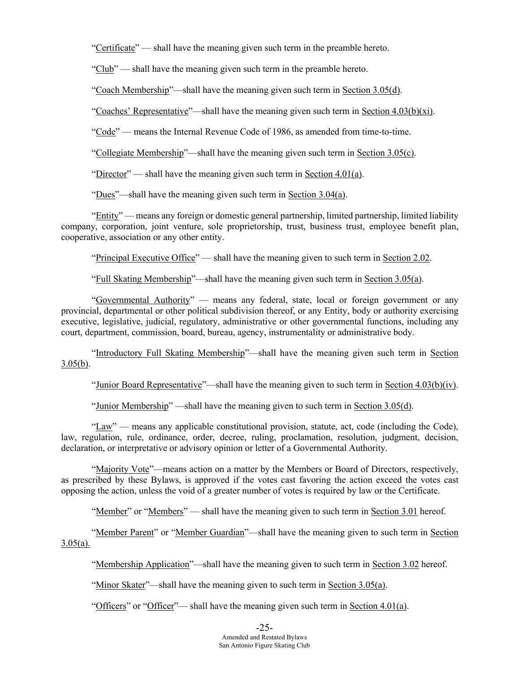"Certificate" — shall have the meaning given such term in the preamble hereto.

"Club" — shall have the meaning given such term in the preamble hereto.

"Coach Membership"—shall have the meaning given such term in Section 3.05(d).

"Coaches' Representative"—shall have the meaning given such term in Section  $4.03(b)(xi)$ .

"Code" — means the Internal Revenue Code of 1986, as amended from time-to-time.

"Collegiate Membership"—shall have the meaning given such term in Section 3.05(c).

"Director" — shall have the meaning given such term in Section 4.01(a).

"Dues"—shall have the meaning given such term in Section 3.04(a).

"Entity" — means any foreign or domestic general partnership, limited partnership, limited liability company, corporation, joint venture, sole proprietorship, trust, business trust, employee benefit plan, cooperative, association or any other entity.

"Principal Executive Office" — shall have the meaning given to such term in Section 2.02.

"Full Skating Membership"—shall have the meaning given such term in Section 3.05(a).

"Governmental Authority" — means any federal, state, local or foreign government or any provincial, departmental or other political subdivision thereof, or any Entity, body or authority exercising executive, legislative, judicial, regulatory, administrative or other governmental functions, including any court, department, commission, board, bureau, agency, instrumentality or administrative body.

"Introductory Full Skating Membership"—shall have the meaning given such term in Section  $3.05(b)$ .

"Junior Board Representative"—shall have the meaning given to such term in Section  $4.03(b)(iv)$ .

"Junior Membership" —shall have the meaning given to such term in Section 3.05(d).

"Law" — means any applicable constitutional provision, statute, act, code (including the Code), law, regulation, rule, ordinance, order, decree, ruling, proclamation, resolution, judgment, decision, declaration, or interpretative or advisory opinion or letter of a Governmental Authority.

"Majority Vote"—means action on a matter by the Members or Board of Directors, respectively, as prescribed by these Bylaws, is approved if the votes cast favoring the action exceed the votes cast opposing the action, unless the void of a greater number of votes is required by law or the Certificate.

"Member" or "Members" — shall have the meaning given to such term in Section 3.01 hereof.

"Member Parent" or "Member Guardian"—shall have the meaning given to such term in Section  $3.05(a)$ .

"Membership Application"—shall have the meaning given to such term in Section 3.02 hereof.

"Minor Skater"—shall have the meaning given to such term in Section 3.05(a).

"Officers" or "Officer"— shall have the meaning given such term in Section 4.01(a).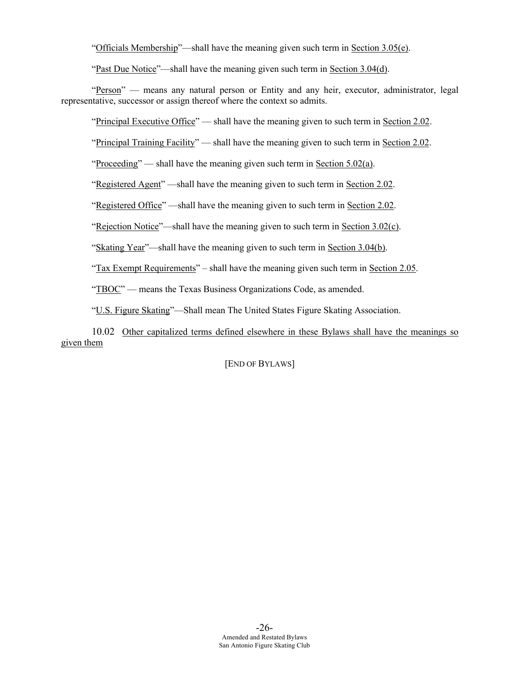"Officials Membership"—shall have the meaning given such term in Section 3.05(e).

"Past Due Notice"—shall have the meaning given such term in Section 3.04(d).

"Person" — means any natural person or Entity and any heir, executor, administrator, legal representative, successor or assign thereof where the context so admits.

"Principal Executive Office" — shall have the meaning given to such term in Section 2.02.

"Principal Training Facility" — shall have the meaning given to such term in Section 2.02.

"Proceeding" — shall have the meaning given such term in Section 5.02(a).

"Registered Agent" —shall have the meaning given to such term in Section 2.02.

"Registered Office" —shall have the meaning given to such term in Section 2.02.

"Rejection Notice"—shall have the meaning given to such term in Section 3.02(c).

"Skating Year"—shall have the meaning given to such term in Section 3.04(b).

"Tax Exempt Requirements" – shall have the meaning given such term in Section 2.05.

"TBOC" — means the Texas Business Organizations Code, as amended.

"U.S. Figure Skating"—Shall mean The United States Figure Skating Association.

10.02 Other capitalized terms defined elsewhere in these Bylaws shall have the meanings so given them

[END OF BYLAWS]